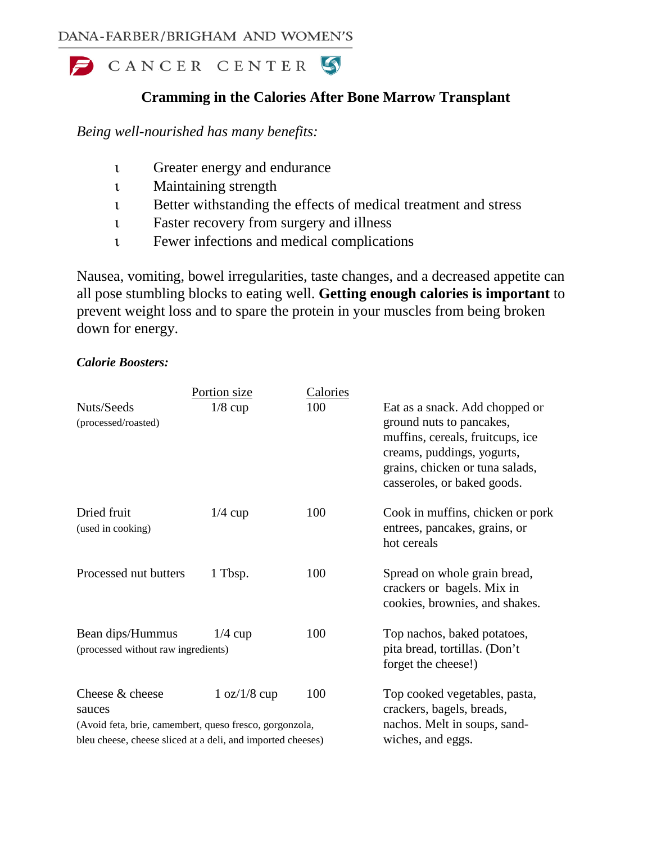

# **Cramming in the Calories After Bone Marrow Transplant**

*Being well-nourished has many benefits:*

- ι Greater energy and endurance
- ι Maintaining strength
- ι Better withstanding the effects of medical treatment and stress
- ι Faster recovery from surgery and illness
- ι Fewer infections and medical complications

Nausea, vomiting, bowel irregularities, taste changes, and a decreased appetite can all pose stumbling blocks to eating well. **Getting enough calories is important** to prevent weight loss and to spare the protein in your muscles from being broken down for energy.

## *Calorie Boosters:*

|                                                                                                                                                     | <u>Portion size</u> | <b>Calories</b> |                                                                                                                                                                                                |
|-----------------------------------------------------------------------------------------------------------------------------------------------------|---------------------|-----------------|------------------------------------------------------------------------------------------------------------------------------------------------------------------------------------------------|
| Nuts/Seeds<br>(processed/roasted)                                                                                                                   | $1/8$ cup           | 100             | Eat as a snack. Add chopped or<br>ground nuts to pancakes,<br>muffins, cereals, fruitcups, ice<br>creams, puddings, yogurts,<br>grains, chicken or tuna salads,<br>casseroles, or baked goods. |
| Dried fruit<br>(used in cooking)                                                                                                                    | $1/4$ cup           | 100             | Cook in muffins, chicken or pork<br>entrees, pancakes, grains, or<br>hot cereals                                                                                                               |
| Processed nut butters                                                                                                                               | 1 Tbsp.             | 100             | Spread on whole grain bread,<br>crackers or bagels. Mix in<br>cookies, brownies, and shakes.                                                                                                   |
| Bean dips/Hummus<br>(processed without raw ingredients)                                                                                             | $1/4$ cup           | 100             | Top nachos, baked potatoes,<br>pita bread, tortillas. (Don't<br>forget the cheese!)                                                                                                            |
| Cheese & cheese<br>sauces<br>(Avoid feta, brie, camembert, queso fresco, gorgonzola,<br>bleu cheese, cheese sliced at a deli, and imported cheeses) | 1 oz/1/8 cup        | 100             | Top cooked vegetables, pasta,<br>crackers, bagels, breads,<br>nachos. Melt in soups, sand-<br>wiches, and eggs.                                                                                |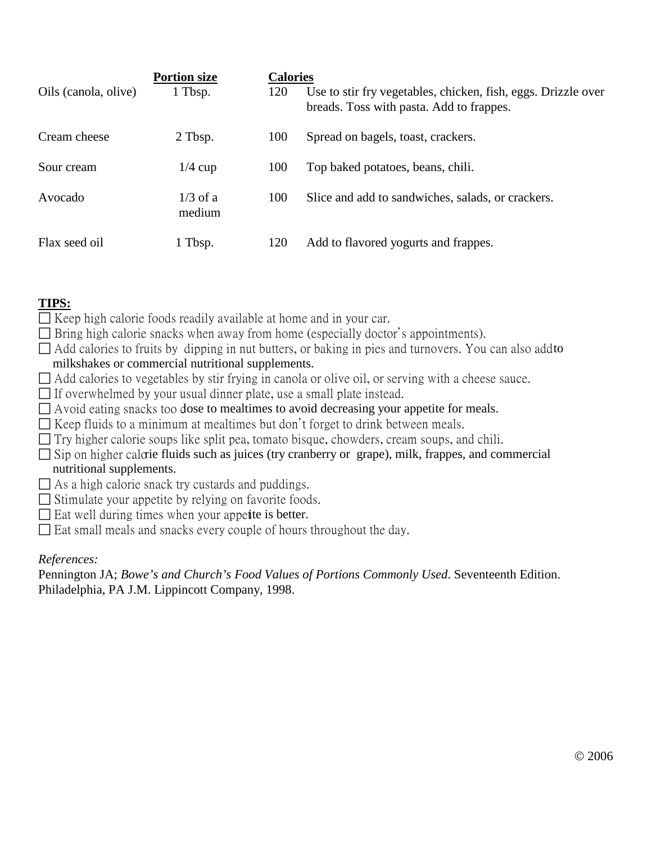| Oils (canola, olive) | <b>Portion size</b><br>1 Tbsp. | <b>Calories</b><br>120 | Use to stir fry vegetables, chicken, fish, eggs. Drizzle over<br>breads. Toss with pasta. Add to frappes. |
|----------------------|--------------------------------|------------------------|-----------------------------------------------------------------------------------------------------------|
| Cream cheese         | 2 Tbsp.                        | 100                    | Spread on bagels, toast, crackers.                                                                        |
| Sour cream           | $1/4$ cup                      | 100                    | Top baked potatoes, beans, chili.                                                                         |
| Avocado              | $1/3$ of a<br>medium           | 100                    | Slice and add to sandwiches, salads, or crackers.                                                         |
| Flax seed oil        | 1 Tbsp.                        | 120                    | Add to flavored yogurts and frappes.                                                                      |

# **TIPS:**

- $\Box$  Keep high calorie foods readily available at home and in your car.
- $\Box$  Bring high calorie snacks when away from home (especially doctor's appointments).
- $\Box$  Add calories to fruits by dipping in nut butters, or baking in pies and turnovers. You can also add to milkshakes or commercial nutritional supplements.
- $\Box$  Add calories to vegetables by stir frying in canola or olive oil, or serving with a cheese sauce.
- $\Box$  If overwhelmed by your usual dinner plate, use a small plate instead.
- $\Box$  Avoid eating snacks too dose to mealtimes to avoid decreasing your appetite for meals.
- $\Box$  Keep fluids to a minimum at mealtimes but don't forget to drink between meals.
- $\Box$  Try higher calorie soups like split pea, tomato bisque, chowders, cream soups, and chili.
- $\Box$  Sip on higher calorie fluids such as juices (try cranberry or grape), milk, frappes, and commercial nutritional supplements.
- $\Box$  As a high calorie snack try custards and puddings.
- $\Box$  Stimulate your appetite by relying on favorite foods.
- $\Box$  Eat well during times when your appetite is better.
- $\square$  Eat small meals and snacks every couple of hours throughout the day.

# *References:*

Pennington JA; *Bowe's and Church's Food Values of Portions Commonly Used*. Seventeenth Edition. Philadelphia, PA J.M. Lippincott Company, 1998.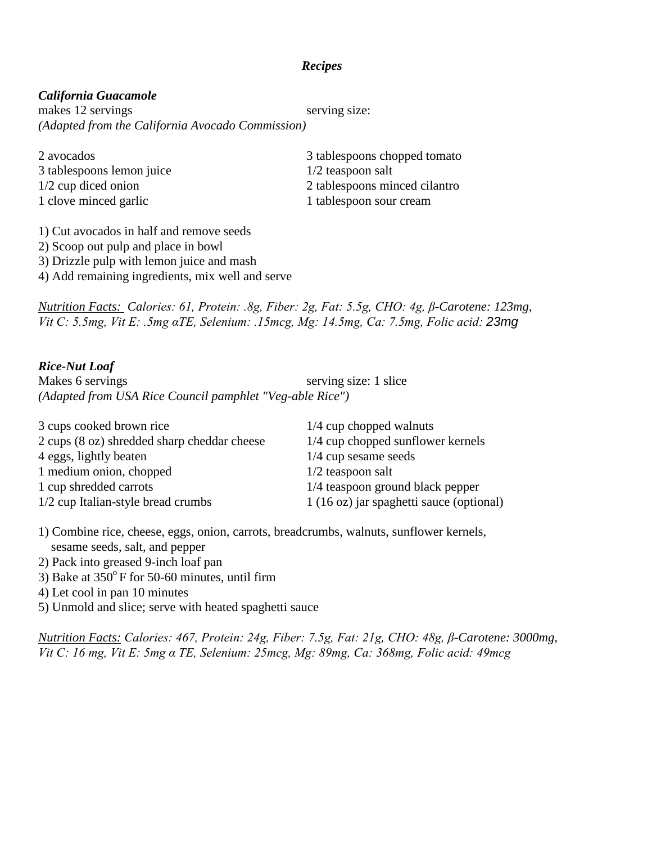### *Recipes*

### *California Guacamole*

makes 12 servings serving size: *(Adapted from the California Avocado Commission)*

3 tablespoons lemon juice 1/2 teaspoon salt 1 clove minced garlic 1 tablespoon sour cream

2 avocados 3 tablespoons chopped tomato 1/2 cup diced onion 2 tablespoons minced cilantro

1) Cut avocados in half and remove seeds 2) Scoop out pulp and place in bowl 3) Drizzle pulp with lemon juice and mash 4) Add remaining ingredients, mix well and serve

*Nutrition Facts: Calories: 61, Protein: .8g, Fiber: 2g, Fat: 5.5g, CHO: 4g, β-Carotene: 123mg, Vit C: 5.5mg, Vit E: .5mg αTE, Selenium: .15mcg, Mg: 14.5mg, Ca: 7.5mg, Folic acid: 23mg*

### *Rice-Nut Loaf*

Makes 6 servings serving size: 1 slice *(Adapted from USA Rice Council pamphlet "Veg-able Rice")*

| 3 cups cooked brown rice                    | $1/4$ cup chopped walnuts                |
|---------------------------------------------|------------------------------------------|
| 2 cups (8 oz) shredded sharp cheddar cheese | 1/4 cup chopped sunflower kernels        |
| 4 eggs, lightly beaten                      | $1/4$ cup sesame seeds                   |
| 1 medium onion, chopped                     | $1/2$ teaspoon salt                      |
| 1 cup shredded carrots                      | 1/4 teaspoon ground black pepper         |
| 1/2 cup Italian-style bread crumbs          | 1 (16 oz) jar spaghetti sauce (optional) |

1) Combine rice, cheese, eggs, onion, carrots, breadcrumbs, walnuts, sunflower kernels, sesame seeds, salt, and pepper

- 2) Pack into greased 9-inch loaf pan
- 3) Bake at  $350^{\circ}$  F for 50-60 minutes, until firm
- 4) Let cool in pan 10 minutes
- 5) Unmold and slice; serve with heated spaghetti sauce

*Nutrition Facts: Calories: 467, Protein: 24g, Fiber: 7.5g, Fat: 21g, CHO: 48g, β-Carotene: 3000mg, Vit C: 16 mg, Vit E: 5mg α TE, Selenium: 25mcg, Mg: 89mg, Ca: 368mg, Folic acid: 49mcg*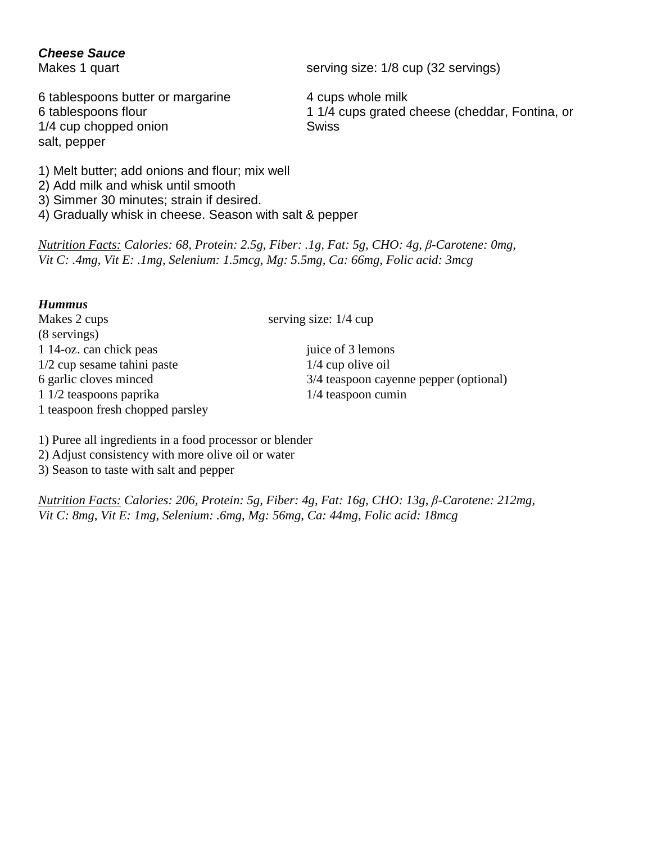## *Cheese Sauce*

6 tablespoons butter or margarine 4 cups whole milk 1/4 cup chopped onion Swiss salt, pepper

Makes 1 quart serving size: 1/8 cup (32 servings)

6 tablespoons flour 1 1/4 cups grated cheese (cheddar, Fontina, or

1) Melt butter; add onions and flour; mix well

- 2) Add milk and whisk until smooth
- 3) Simmer 30 minutes; strain if desired.
- 4) Gradually whisk in cheese. Season with salt & pepper

*Nutrition Facts: Calories: 68, Protein: 2.5g, Fiber: .1g, Fat: 5g, CHO: 4g, β-Carotene: 0mg, Vit C: .4mg, Vit E: .1mg, Selenium: 1.5mcg, Mg: 5.5mg, Ca: 66mg, Folic acid: 3mcg*

## *Hummus*

Makes 2 cups serving size: 1/4 cup (8 servings) 1 14-oz. can chick peas juice of 3 lemons  $1/2$  cup sesame tahini paste  $1/4$  cup olive oil 6 garlic cloves minced 3/4 teaspoon cayenne pepper (optional) 1 1/2 teaspoons paprika 1/4 teaspoon cumin 1 teaspoon fresh chopped parsley

1) Puree all ingredients in a food processor or blender

2) Adjust consistency with more olive oil or water

3) Season to taste with salt and pepper

*Nutrition Facts: Calories: 206, Protein: 5g, Fiber: 4g, Fat: 16g, CHO: 13g, β-Carotene: 212mg, Vit C: 8mg, Vit E: 1mg, Selenium: .6mg, Mg: 56mg, Ca: 44mg, Folic acid: 18mcg*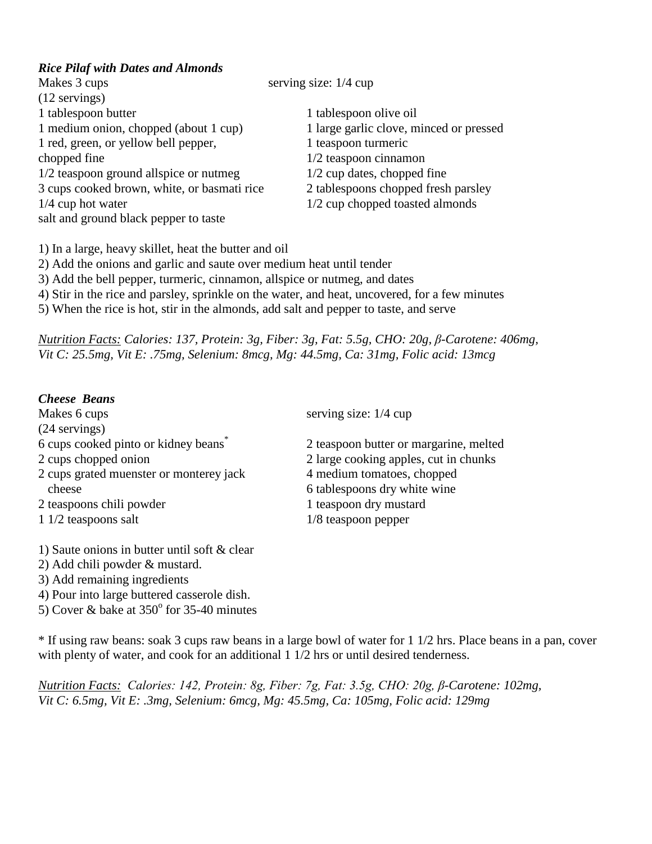## *Rice Pilaf with Dates and Almonds*

| Makes 3 cups                                | serving size: $1/4$ cup                 |
|---------------------------------------------|-----------------------------------------|
| $(12$ servings)                             |                                         |
| 1 tablespoon butter                         | 1 tablespoon olive oil                  |
| 1 medium onion, chopped (about 1 cup)       | 1 large garlic clove, minced or pressed |
| 1 red, green, or yellow bell pepper,        | 1 teaspoon turmeric                     |
| chopped fine                                | $1/2$ teaspoon cinnamon                 |
| 1/2 teaspoon ground allspice or nutmeg      | $1/2$ cup dates, chopped fine           |
| 3 cups cooked brown, white, or basmati rice | 2 tablespoons chopped fresh parsley     |
| $1/4$ cup hot water                         | 1/2 cup chopped toasted almonds         |
| salt and ground black pepper to taste       |                                         |
|                                             |                                         |

1) In a large, heavy skillet, heat the butter and oil

2) Add the onions and garlic and saute over medium heat until tender

3) Add the bell pepper, turmeric, cinnamon, allspice or nutmeg, and dates

4) Stir in the rice and parsley, sprinkle on the water, and heat, uncovered, for a few minutes

5) When the rice is hot, stir in the almonds, add salt and pepper to taste, and serve

*Nutrition Facts: Calories: 137, Protein: 3g, Fiber: 3g, Fat: 5.5g, CHO: 20g, β-Carotene: 406mg, Vit C: 25.5mg, Vit E: .75mg, Selenium: 8mcg, Mg: 44.5mg, Ca: 31mg, Folic acid: 13mcg*

# *Cheese Beans*

| Makes 6 cups                                     | serving size: $1/4$ cup                |
|--------------------------------------------------|----------------------------------------|
| $(24$ servings)                                  |                                        |
| 6 cups cooked pinto or kidney beans <sup>*</sup> | 2 teaspoon butter or margarine, melted |
| 2 cups chopped onion                             | 2 large cooking apples, cut in chunks  |
| 2 cups grated muenster or monterey jack          | 4 medium tomatoes, chopped             |
| cheese                                           | 6 tablespoons dry white wine           |
| 2 teaspoons chili powder                         | 1 teaspoon dry mustard                 |
| 1 1/2 teaspoons salt                             | $1/8$ teaspoon pepper                  |
|                                                  |                                        |

1) Saute onions in butter until soft & clear

2) Add chili powder & mustard.

3) Add remaining ingredients

4) Pour into large buttered casserole dish.

5) Cover & bake at  $350^{\circ}$  for 35-40 minutes

\* If using raw beans: soak 3 cups raw beans in a large bowl of water for 1 1/2 hrs. Place beans in a pan, cover with plenty of water, and cook for an additional 1 1/2 hrs or until desired tenderness.

*Nutrition Facts: Calories: 142, Protein: 8g, Fiber: 7g, Fat: 3.5g, CHO: 20g, β-Carotene: 102mg, Vit C: 6.5mg, Vit E: .3mg, Selenium: 6mcg, Mg: 45.5mg, Ca: 105mg, Folic acid: 129mg*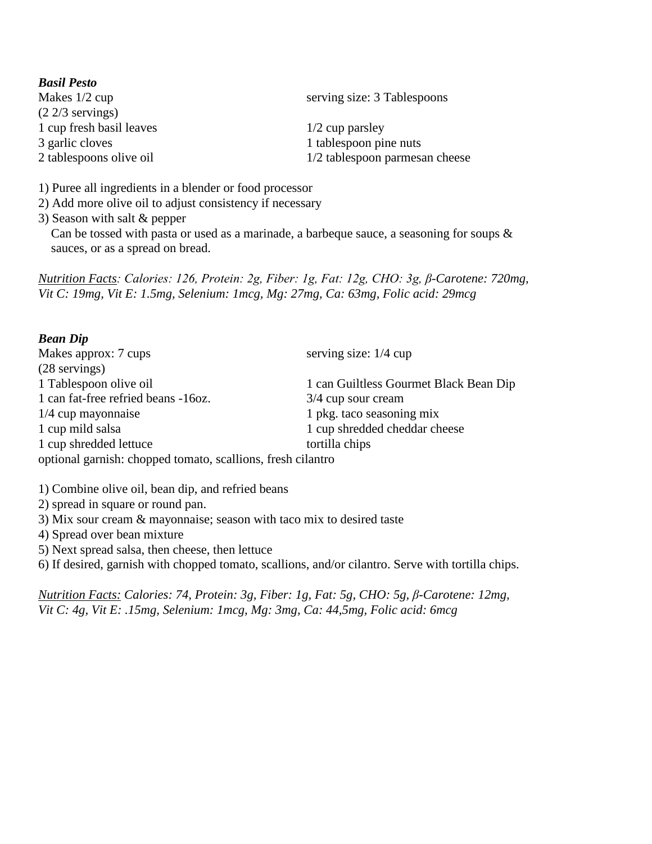| <b>Basil Pesto</b>       |                                |
|--------------------------|--------------------------------|
| Makes $1/2$ cup          | serving size: 3 Tablespoons    |
| $(2\ 2/3$ servings)      |                                |
| 1 cup fresh basil leaves | $1/2$ cup parsley              |
| 3 garlic cloves          | 1 tablespoon pine nuts         |
| 2 tablespoons olive oil  | 1/2 tablespoon parmesan cheese |
|                          |                                |

1) Puree all ingredients in a blender or food processor

2) Add more olive oil to adjust consistency if necessary

3) Season with salt & pepper

Can be tossed with pasta or used as a marinade, a barbeque sauce, a seasoning for soups  $\&$ sauces, or as a spread on bread.

*Nutrition Facts: Calories: 126, Protein: 2g, Fiber: 1g, Fat: 12g, CHO: 3g, β-Carotene: 720mg, Vit C: 19mg, Vit E: 1.5mg, Selenium: 1mcg, Mg: 27mg, Ca: 63mg, Folic acid: 29mcg*

### *Bean Dip*

| Makes approx: 7 cups                                        | serving size: $1/4$ cup                |
|-------------------------------------------------------------|----------------------------------------|
| $(28$ servings)                                             |                                        |
| 1 Tablespoon olive oil                                      | 1 can Guiltless Gourmet Black Bean Dip |
| 1 can fat-free refried beans -16oz.                         | 3/4 cup sour cream                     |
| $1/4$ cup mayonnaise                                        | 1 pkg. taco seasoning mix              |
| 1 cup mild salsa                                            | 1 cup shredded cheddar cheese          |
| 1 cup shredded lettuce                                      | tortilla chips                         |
| optional garnish: chopped tomato, scallions, fresh cilantro |                                        |

1) Combine olive oil, bean dip, and refried beans

2) spread in square or round pan.

3) Mix sour cream & mayonnaise; season with taco mix to desired taste

4) Spread over bean mixture

5) Next spread salsa, then cheese, then lettuce

6) If desired, garnish with chopped tomato, scallions, and/or cilantro. Serve with tortilla chips.

*Nutrition Facts: Calories: 74, Protein: 3g, Fiber: 1g, Fat: 5g, CHO: 5g, β-Carotene: 12mg, Vit C: 4g, Vit E: .15mg, Selenium: 1mcg, Mg: 3mg, Ca: 44,5mg, Folic acid: 6mcg*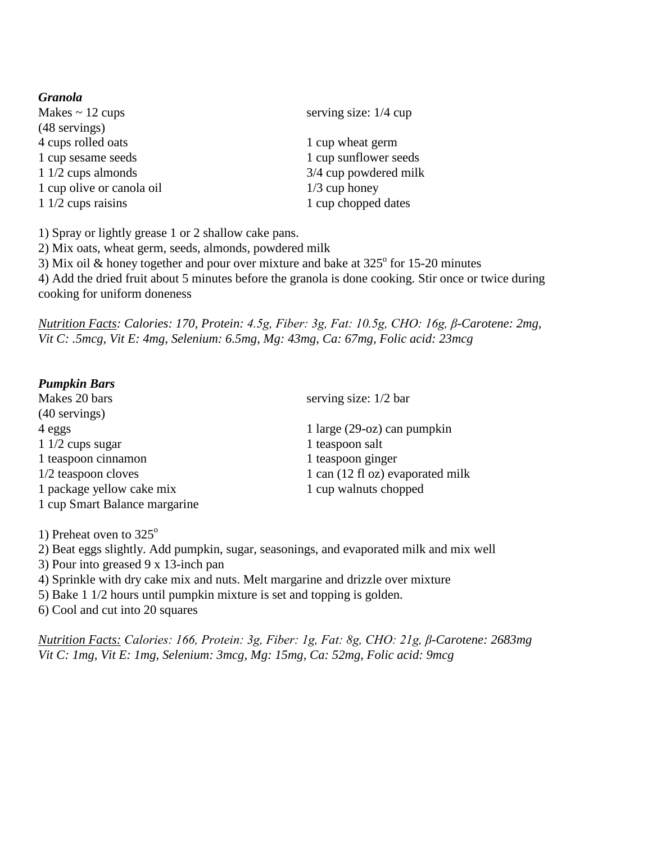| <b>Granola</b>            |                         |  |
|---------------------------|-------------------------|--|
| Makes $\sim$ 12 cups      | serving size: $1/4$ cup |  |
| (48 servings)             |                         |  |
| 4 cups rolled oats        | 1 cup wheat germ        |  |
| 1 cup sesame seeds        | 1 cup sunflower seeds   |  |
| $11/2$ cups almonds       | 3/4 cup powdered milk   |  |
| 1 cup olive or canola oil | $1/3$ cup honey         |  |
| $11/2$ cups raisins       | 1 cup chopped dates     |  |
|                           |                         |  |

1) Spray or lightly grease 1 or 2 shallow cake pans.

2) Mix oats, wheat germ, seeds, almonds, powdered milk

3) Mix oil & honey together and pour over mixture and bake at  $325^{\circ}$  for 15-20 minutes 4) Add the dried fruit about 5 minutes before the granola is done cooking. Stir once or twice during cooking for uniform doneness

*Nutrition Facts: Calories: 170, Protein: 4.5g, Fiber: 3g, Fat: 10.5g, CHO: 16g, β-Carotene: 2mg, Vit C: .5mcg, Vit E: 4mg, Selenium: 6.5mg, Mg: 43mg, Ca: 67mg, Folic acid: 23mcg*

## *Pumpkin Bars*

Makes 20 bars serving size: 1/2 bar (40 servings) 4 eggs 1 large (29-oz) can pumpkin 1 1/2 cups sugar 1 teaspoon salt 1 teaspoon cinnamon 1 teaspoon ginger  $1/2$  teaspoon cloves  $1 \text{ can } (12 \text{ fl oz})$  evaporated milk 1 package yellow cake mix 1 cup walnuts chopped 1 cup Smart Balance margarine

1) Preheat oven to  $325^\circ$ 

2) Beat eggs slightly. Add pumpkin, sugar, seasonings, and evaporated milk and mix well

3) Pour into greased 9 x 13-inch pan

4) Sprinkle with dry cake mix and nuts. Melt margarine and drizzle over mixture

5) Bake 1 1/2 hours until pumpkin mixture is set and topping is golden.

6) Cool and cut into 20 squares

*Nutrition Facts: Calories: 166, Protein: 3g, Fiber: 1g, Fat: 8g, CHO: 21g, β-Carotene: 2683mg Vit C: 1mg, Vit E: 1mg, Selenium: 3mcg, Mg: 15mg, Ca: 52mg, Folic acid: 9mcg*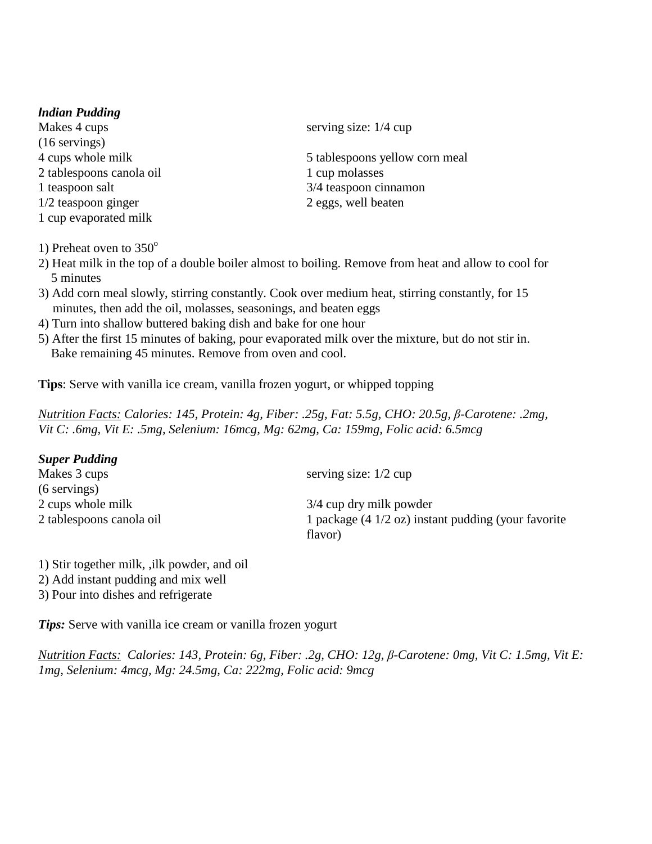### *Indian Pudding*

Makes 4 cups serving size: 1/4 cup (16 servings) 2 tablespoons canola oil 1 cup molasses 1/2 teaspoon ginger 2 eggs, well beaten 1 cup evaporated milk

1) Preheat oven to  $350^\circ$ 

4 cups whole milk 5 tables 5 tables 5 tables whole milk 1 teaspoon salt 3/4 teaspoon cinnamon

- 2) Heat milk in the top of a double boiler almost to boiling. Remove from heat and allow to cool for 5 minutes
- 3) Add corn meal slowly, stirring constantly. Cook over medium heat, stirring constantly, for 15 minutes, then add the oil, molasses, seasonings, and beaten eggs
- 4) Turn into shallow buttered baking dish and bake for one hour
- 5) After the first 15 minutes of baking, pour evaporated milk over the mixture, but do not stir in. Bake remaining 45 minutes. Remove from oven and cool.

**Tips**: Serve with vanilla ice cream, vanilla frozen yogurt, or whipped topping

*Nutrition Facts: Calories: 145, Protein: 4g, Fiber: .25g, Fat: 5.5g, CHO: 20.5g, β-Carotene: .2mg, Vit C: .6mg, Vit E: .5mg, Selenium: 16mcg, Mg: 62mg, Ca: 159mg, Folic acid: 6.5mcg*

| <b>Super Pudding</b>     |                                                               |
|--------------------------|---------------------------------------------------------------|
| Makes 3 cups             | serving size: $1/2$ cup                                       |
| $(6$ servings)           |                                                               |
| 2 cups whole milk        | 3/4 cup dry milk powder                                       |
| 2 tablespoons canola oil | 1 package $(4 \frac{1}{2}$ oz) instant pudding (your favorite |
|                          | flavor)                                                       |

1) Stir together milk, ,ilk powder, and oil 2) Add instant pudding and mix well 3) Pour into dishes and refrigerate

*Tips:* Serve with vanilla ice cream or vanilla frozen yogurt

*Nutrition Facts: Calories: 143, Protein: 6g, Fiber: .2g, CHO: 12g, β-Carotene: 0mg, Vit C: 1.5mg, Vit E: 1mg, Selenium: 4mcg, Mg: 24.5mg, Ca: 222mg, Folic acid: 9mcg*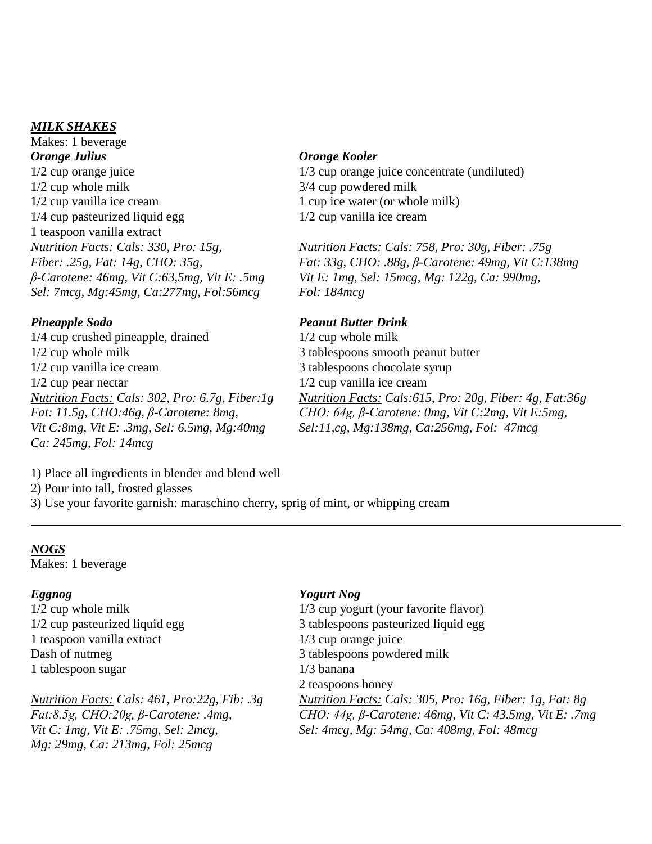### *MILK SHAKES*

Makes: 1 beverage *Orange Julius Orange Kooler*<br>
1/2 cup orange juice 1/3 cup orange julies 1/2 cup orange juice<br>
1/2 cup whole milk<br>
1/2 cup whole milk<br>
3/4 cup powdered milk 1/2 cup whole milk<br>1/2 cup vanilla ice cream<br>1 cup ice water (or who  $1/4$  cup pasteurized liquid egg 1 teaspoon vanilla extract<br>Nutrition Facts: Cals: 330, Pro: 15g, *Sel: 7mcg, Mg:45mg, Ca:277mg, Fol:56mcg Fol: 184mcg*

1/4 cup crushed pineapple, drained 1/2 cup whole milk 1/2 cup whole milk 3 tablespoons smooth peanut butter 1/2 cup vanilla ice cream 3 tablespoons chocolate syrup 1/2 cup pear nectar  $\frac{1}{2}$  cup vanilla ice cream<br> *Nutrition Facts: Cals: 302, Pro: 6.7g, Fiber: 1g Mutrition Facts: Cals:615 Ca: 245mg, Fol: 14mcg*

1 cup ice water (or whole milk)  $1/2$  cup vanilla ice cream

*Nutrition Facts: Cals: 330, Pro: 15g, Nutrition Facts: Cals: 758, Pro: 30g, Fiber: .75g Fiber: .25g, Fat: 14g, CHO: 35g,*<br> *Fat: 33g, CHO: .88g, β*-Carotene: 49mg, Vit C:138mg<br>
β-Carotene: 46mg, Vit C:63,5mg, Vit E: .5mg<br> *Vit E: 1mg, Sel: 15mcg, Mg: 122g, Ca: 990mg, <i>Vit E: 1mg, Sel: 15mcg, Mg: 122g, Ca: 990mg,* 

## *Pineapple Soda Peanut Butter Drink*

*Nutrition Facts: Cals: 302, Pro: 6.7g, Fiber:1g Nutrition Facts: Cals:615, Pro: 20g, Fiber: 4g, Fat:36g Fat: 11.5g, CHO:46g, β-Carotene: 8mg, CHO: 64g, β-Carotene: 0mg, Vit C:2mg, Vit E:5mg, Vit E: 5mg, Sel: 6.5mg, Mg:40mg Sel:11,cg, Mg:138mg, Ca:256mg, Fol: 47mcg <i>Vit E: .3mg, Sel: 6.5mg, Mg:40mg Sel:11,cg, Mg:138mg, Vit C:8mg, Vit E: .3mg, Sel: 6.5mg, Mg:40mg Sel:11,cg, Mg:138mg, Ca:256mg, Fol: 47mcg*

1) Place all ingredients in blender and blend well

2) Pour into tall, frosted glasses

3) Use your favorite garnish: maraschino cherry, sprig of mint, or whipping cream

### *NOGS*

Makes: 1 beverage

*Eggnog Yogurt Nog*<br>  $1/2$  cup whole milk  $1/3$  cup yogur 1 teaspoon vanilla extract<br>Dash of nutmeg 1 tablespoon sugar 1/3 banana

*Mg: 29mg, Ca: 213mg, Fol: 25mcg*

1/2 cup whole milk 1/2 cup whole milk 1/3 cup yogurt (your favorite flavor)<br>1/2 cup pasteurized liquid egg 3 tables 3 tables of 2 3 tablespoons pasteurized liquid egg  $1/3$  cup orange juice 3 tablespoons powdered milk 2 teaspoons honey *Nutrition Facts: Cals: 461, Pro:22g, Fib: .3g Nutrition Facts: Cals: 305, Pro: 16g, Fiber: 1g, Fat: 8g Fat:8.5g, CHO:20g, β-Carotene: .4mg, CHO: 44g, β-Carotene: 46mg, Vit C: 43.5mg, Vit E: .7mg Vit C: 1mg, Vit E: .75mg, Sel: 2mcg, Sel: 4mcg, Mg: 54mg, Ca: 408mg, Fol: 48mcg*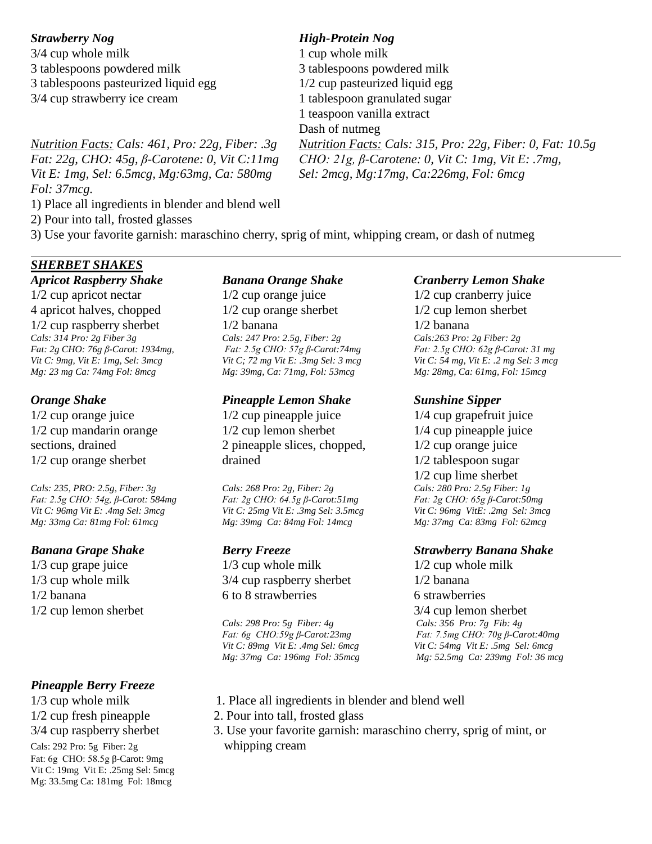$3/4$  cup whole milk  $1$  cup whole milk 3 tablespoons powdered milk 3 tablespoons powdered milk 3 tablespoons pasteurized liquid egg 1/2 cup pasteurized liquid egg 3/4 cup strawberry ice cream 1 tablespoon granulated sugar

*Vit E: 1mg, Sel: 6.5mcg, Mg:63mg, Ca: 580mg Sel: 2mcg, Mg:17mg, Ca:226mg, Fol: 6mcg Fol: 37mcg.*

1) Place all ingredients in blender and blend well

2) Pour into tall, frosted glasses

3) Use your favorite garnish: maraschino cherry, sprig of mint, whipping cream, or dash of nutmeg

# *SHERBET SHAKES*

1/2 cup apricot nectar 1/2 cup orange juice 1/2 cup cranberry juice 4 apricot halves, chopped 1/2 cup orange sherbet 1/2 cup lemon sherbet  $1/2$  cup raspberry sherbet  $1/2$  banana  $1/2$  banana *Cals: 314 Pro: 2g Fiber 3g Cals: 247 Pro: 2.5g, Fiber: 2g Cals:263 Pro: 2g Fiber: 2g Fat: 2g CHO: 76g β-Carot: 1934mg, Fat: 2.5g CHO: 57g β-Carot:74mg Fat: 2.5g CHO: 62g β-Carot: 31 mg Vit C: 9mg, Vit E: 1mg, Sel: 3mcg Vit C; 72 mg Vit E: .3mg Sel: 3 mcg Vit C: 54 mg, Vit E: .2 mg Sel: 3 mcg Mg: 23 mg Ca: 74mg Fol: 8mcg Mg: 39mg, Ca: 71mg, Fol: 53mcg Mg: 28mg, Ca: 61mg, Fol: 15mcg*

*Cals: 235, PRO: 2.5g, Fiber: 3g Cals: 268 Pro: 2g, Fiber: 2g Fat: 2.5g CHO: 54g, β-Carot: 584mg Fat: 2g CHO: 64.5g β-Carot:51mg Fat: 2g CHO: 65g β-Carot:50mg Vit C: 96mg Vit E: .4mg Sel: 3mcg Vit C: 25mg Vit E: .3mg Sel: 3.5mcg Vit C: 96mg VitE: .2mg Sel: 3mcg Mg: 33mg Ca: 81mg Fol: 61mcg Mg: 39mg Ca: 84mg Fol: 14mcg Mg: 37mg Ca: 83mg Fol: 62mcg*

## *Pineapple Berry Freeze*

Cals: 292 Pro: 5g Fiber: 2g whipping cream Fat: 6g CHO: 58.5g β-Carot: 9mg Vit C: 19mg Vit E: .25mg Sel: 5mcg Mg: 33.5mg Ca: 181mg Fol: 18mcg

## *Orange Shake Pineapple Lemon Shake Sunshine Sipper*

1/2 cup orange juice 1/2 cup pineapple juice 1/4 cup grapefruit juice  $1/2$  cup mandarin orange  $1/2$  cup lemon sherbet  $1/4$  cup pineapple juice sections, drained 2 pineapple slices, chopped,  $\frac{1}{2}$  cup orange juice 1/2 cup orange sherbet drained 1/2 tablespoon sugar

1/3 cup grape juice 1/3 cup whole milk 1/2 cup whole milk 1/3 cup whole milk 3/4 cup raspberry sherbet 1/2 banana 1/2 banana 6 to 8 strawberries 6 strawberries

### *Apricot Raspberry Shake Banana Orange Shake Cranberry Lemon Shake*

 $1/2$  cup lime sherbet<br>Cals: 280 Pro: 2.5g Fiber: 1g

### *Banana Grape Shake Berry Freeze Strawberry Banana Shake*

1/2 cup lemon sherbet *Cals: 298 Pro: 5g Fiber: 4g* 3/4 cup lemon sherbet *Cals: 298 Pro: 5g Fiber: 4g Cals: 356 Pro: 7g Fib: 4g Fat: 6g CHO:59g β-Carot:23mg Fat: 7.5mg CHO: 70g β-Carot:40mg Vit C: 89mg Vit E: .4mg Sel: 6mcg Vit C: 54mg Vit E: .5mg Sel: 6mcg Mg: 37mg Ca: 196mg Fol: 35mcg Mg: 52.5mg Ca: 239mg Fol: 36 mcg*

- 1/3 cup whole milk 1. Place all ingredients in blender and blend well
- 1/2 cup fresh pineapple 2. Pour into tall, frosted glass
- 3/4 cup raspberry sherbet 3. Use your favorite garnish: maraschino cherry, sprig of mint, or

# *Strawberry Nog High-Protein Nog*

1 teaspoon vanilla extract Dash of nutmeg *Nutrition Facts: Cals: 461, Pro: 22g, Fiber: .3g Nutrition Facts: Cals: 315, Pro: 22g, Fiber: 0, Fat: 10.5g Fat: 22g, CHO: 45g, β-Carotene: 0, Vit C:11mg CHO: 21g, β-Carotene: 0, Vit C: 1mg, Vit E: .7mg,*